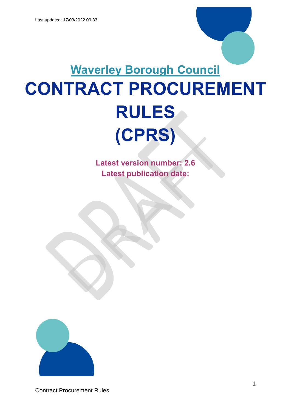# **Waverley Borough Council CONTRACT PROCUREMENT RULES (CPRS)**

**Latest version number: 2.6 Latest publication date:** 

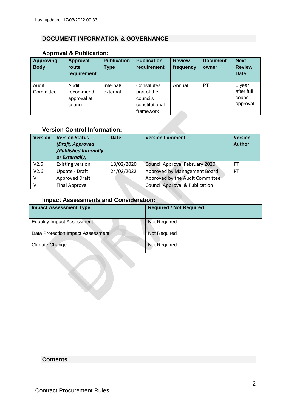# <span id="page-1-0"></span>**DOCUMENT INFORMATION & GOVERNANCE**

| <b>Approving</b><br><b>Body</b> | <b>Approval</b><br>route<br>requirement | <b>Publication</b><br><b>Type</b> | <b>Publication</b><br>requirement | <b>Review</b><br>frequency | <b>Document</b><br>owner | <b>Next</b><br><b>Review</b><br><b>Date</b> |
|---------------------------------|-----------------------------------------|-----------------------------------|-----------------------------------|----------------------------|--------------------------|---------------------------------------------|
| Audit                           | Audit                                   | Internal/                         | Constitutes                       | Annual                     | <b>PT</b>                | 1 year                                      |
| Committee                       | recommend                               | external                          | part of the                       |                            |                          | after full                                  |
|                                 | approval at                             |                                   | councils                          |                            |                          | council                                     |
|                                 | council                                 |                                   | constitutional                    |                            |                          | approval                                    |
|                                 |                                         |                                   | framework                         |                            |                          |                                             |

# **Approval & Publication:**

# **Version Control Information:**

| <b>Version</b> | <b>Version Status</b><br>(Draft, Approved<br>/Published Internally<br>or Externally) | <b>Date</b> | <b>Version Comment</b>                    | <b>Version</b><br><b>Author</b> |
|----------------|--------------------------------------------------------------------------------------|-------------|-------------------------------------------|---------------------------------|
| V2.5           | <b>Existing version</b>                                                              | 18/02/2020  | <b>Council Approval February 2020</b>     | <b>PT</b>                       |
| V2.6           | Update - Draft                                                                       | 24/02/2022  | Approved by Management Board              | <b>PT</b>                       |
| v              | Approved Draft                                                                       |             | Approved by the Audit Committee           |                                 |
| v              | Final Approval                                                                       |             | <b>Council Approval &amp; Publication</b> |                                 |

# **Impact Assessments and Consideration:**

| <b>Impact Assessment Type</b>     | <b>Required / Not Required</b> |
|-----------------------------------|--------------------------------|
| <b>Equality Impact Assessment</b> | Not Required                   |
| Data Protection Impact Assessment | <b>Not Required</b>            |
| <b>Climate Change</b>             | <b>Not Required</b>            |

# **Contents**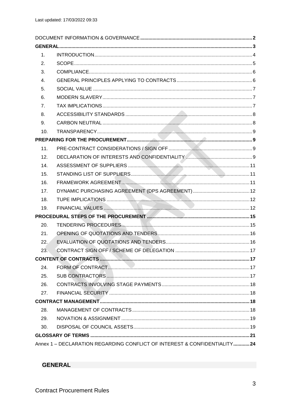| 1 <sub>1</sub> |                                                                          |  |
|----------------|--------------------------------------------------------------------------|--|
| 2.             |                                                                          |  |
| 3.             |                                                                          |  |
| 4.             |                                                                          |  |
| 5.             |                                                                          |  |
| 6.             |                                                                          |  |
| 7.             |                                                                          |  |
| 8.             |                                                                          |  |
| 9.             |                                                                          |  |
| 10.            |                                                                          |  |
|                |                                                                          |  |
| 11.            |                                                                          |  |
| 12.            |                                                                          |  |
| 14.            |                                                                          |  |
| 15.            |                                                                          |  |
| 16.            |                                                                          |  |
| 17.            |                                                                          |  |
| 18.            |                                                                          |  |
| 19.            |                                                                          |  |
|                |                                                                          |  |
| 20.            |                                                                          |  |
| 21.            |                                                                          |  |
| 22.            |                                                                          |  |
| 23.            |                                                                          |  |
|                |                                                                          |  |
| 24.            |                                                                          |  |
| 25.            |                                                                          |  |
| 26.            |                                                                          |  |
| 27.            |                                                                          |  |
|                |                                                                          |  |
| 28.            |                                                                          |  |
| 29.            |                                                                          |  |
| 30.            |                                                                          |  |
|                |                                                                          |  |
|                | Annex 1 - DECLARATION REGARDING CONFLICT OF INTEREST & CONFIDENTIALITY24 |  |

<span id="page-2-0"></span>**GENERAL**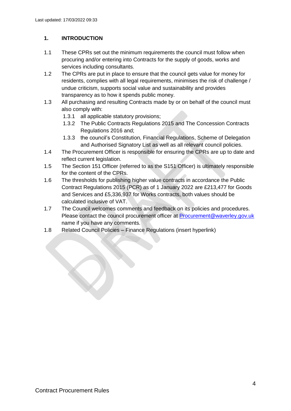# <span id="page-3-0"></span>**1. INTRODUCTION**

- 1.1 These CPRs set out the minimum requirements the council must follow when procuring and/or entering into Contracts for the supply of goods, works and services including consultants.
- 1.2 The CPRs are put in place to ensure that the council gets value for money for residents, complies with all legal requirements, minimises the risk of challenge / undue criticism, supports social value and sustainability and provides transparency as to how it spends public money.
- 1.3 All purchasing and resulting Contracts made by or on behalf of the council must also comply with:
	- 1.3.1 all applicable statutory provisions;
	- 1.3.2 The Public Contracts Regulations 2015 and The Concession Contracts Regulations 2016 and;
	- 1.3.3 the council's Constitution, Financial Regulations, Scheme of Delegation and Authorised Signatory List as well as all relevant council policies.
- 1.4 The Procurement Officer is responsible for ensuring the CPRs are up to date and reflect current legislation.
- 1.5 The Section 151 Officer (referred to as the S151 Officer) is ultimately responsible for the content of the CPRs.
- 1.6 The thresholds for publishing higher value contracts in accordance the Public Contract Regulations 2015 (PCR) as of 1 January 2022 are £213,477 for Goods and Services and £5,336,937 for Works contracts, both values should be calculated inclusive of VAT.
- 1.7 The Council welcomes comments and feedback on its policies and procedures. Please contact the council procurement officer at **Procurement@waverley.gov.uk** name if you have any comments.
- 1.8 Related Council Policies Finance Regulations (insert hyperlink)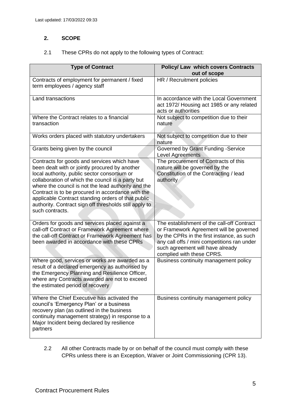# <span id="page-4-0"></span>**2. SCOPE**

### 2.1 These CPRs do not apply to the following types of Contract:

| <b>Type of Contract</b>                                                                                                                                                                                                                                                                                                                                                                                                                           | <b>Policy/ Law which covers Contracts</b><br>out of scope                                                                                                                                                                                           |
|---------------------------------------------------------------------------------------------------------------------------------------------------------------------------------------------------------------------------------------------------------------------------------------------------------------------------------------------------------------------------------------------------------------------------------------------------|-----------------------------------------------------------------------------------------------------------------------------------------------------------------------------------------------------------------------------------------------------|
| Contracts of employment for permanent / fixed<br>term employees / agency staff                                                                                                                                                                                                                                                                                                                                                                    | HR / Recruitment policies                                                                                                                                                                                                                           |
| Land transactions                                                                                                                                                                                                                                                                                                                                                                                                                                 | In accordance with the Local Government<br>act 1972/ Housing act 1985 or any related<br>acts or authorities                                                                                                                                         |
| Where the Contract relates to a financial<br>transaction                                                                                                                                                                                                                                                                                                                                                                                          | Not subject to competition due to their<br>nature                                                                                                                                                                                                   |
| Works orders placed with statutory undertakers                                                                                                                                                                                                                                                                                                                                                                                                    | Not subject to competition due to their<br>nature                                                                                                                                                                                                   |
| Grants being given by the council                                                                                                                                                                                                                                                                                                                                                                                                                 | Governed by Grant Funding -Service<br>Level Agreements                                                                                                                                                                                              |
| Contracts for goods and services which have<br>been dealt with or jointly procured by another<br>local authority, public sector consortium or<br>collaboration of which the council is a party but<br>where the council is not the lead authority and the<br>Contract is to be procured in accordance with the<br>applicable Contract standing orders of that public<br>authority. Contract sign off thresholds still apply to<br>such contracts. | The procurement of Contracts of this<br>nature will be governed by the<br>Constitution of the Contracting / lead<br>authority                                                                                                                       |
| Orders for goods and services placed against a<br>call-off Contract or Framework Agreement where<br>the call-off Contract or Framework Agreement has<br>been awarded in accordance with these CPRs                                                                                                                                                                                                                                                | The establishment of the call-off Contract<br>or Framework Agreement will be governed<br>by the CPRs in the first instance, as such<br>any call offs / mini competitions ran under<br>such agreement will have already<br>complied with these CPRS. |
| Where good, services or works are awarded as a<br>result of a declared emergency as authorised by<br>the Emergency Planning and Resilience Officer,<br>where any Contracts awarded are not to exceed<br>the estimated period of recovery                                                                                                                                                                                                          | Business continuity management policy                                                                                                                                                                                                               |
| Where the Chief Executive has activated the<br>council's 'Emergency Plan' or a business<br>recovery plan (as outlined in the business<br>continuity management strategy) in response to a<br>Major Incident being declared by resilience<br>partners                                                                                                                                                                                              | Business continuity management policy                                                                                                                                                                                                               |

2.2 All other Contracts made by or on behalf of the council must comply with these CPRs unless there is an Exception, Waiver or Joint Commissioning (CPR 13).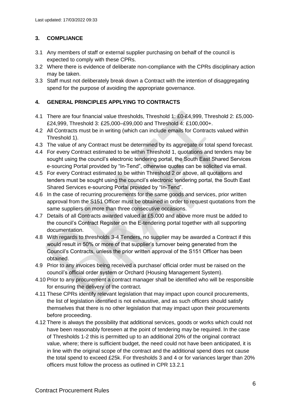# <span id="page-5-0"></span>**3. COMPLIANCE**

- 3.1 Any members of staff or external supplier purchasing on behalf of the council is expected to comply with these CPRs.
- 3.2 Where there is evidence of deliberate non-compliance with the CPRs disciplinary action may be taken.
- 3.3 Staff must not deliberately break down a Contract with the intention of disaggregating spend for the purpose of avoiding the appropriate governance.

### <span id="page-5-1"></span>**4. GENERAL PRINCIPLES APPLYING TO CONTRACTS**

- 4.1 There are four financial value thresholds, Threshold 1: £0-£4,999, Threshold 2: £5,000- £24,999, Threshold 3: £25,000–£99,000 and Threshold 4: £100,000+.
- 4.2 All Contracts must be in writing (which can include emails for Contracts valued within Threshold 1).
- 4.3 The value of any Contract must be determined by its aggregate or total spend forecast.
- 4.4 For every Contract estimated to be within Threshold 1, quotations and tenders may be sought using the council's electronic tendering portal, the South East Shared Services e-sourcing Portal provided by "In-Tend", otherwise quotes can be solicited via email.
- 4.5 For every Contract estimated to be within Threshold 2 or above, all quotations and tenders must be sought using the council's electronic tendering portal, the South East Shared Services e-sourcing Portal provided by "In-Tend".
- 4.6 In the case of recurring procurements for the same goods and services, prior written approval from the S151 Officer must be obtained in order to request quotations from the same suppliers on more than three consecutive occasions.
- 4.7 Details of all Contracts awarded valued at £5,000 and above more must be added to the council's Contract Register on the E-tendering portal together with all supporting documentation.
- 4.8 With regards to thresholds 3-4 Tenders, no supplier may be awarded a Contract if this would result in 50% or more of that supplier's turnover being generated from the Council's Contracts, unless the prior written approval of the S151 Officer has been obtained.
- 4.9 Prior to any invoices being received a purchase/ official order must be raised on the council's official order system or Orchard (Housing Management System).
- 4.10 Prior to any procurement a contract manager shall be identified who will be responsible for ensuring the delivery of the contract.
- 4.11 These CPRs identify relevant legislation that may impact upon council procurements, the list of legislation identified is not exhaustive, and as such officers should satisfy themselves that there is no other legislation that may impact upon their procurements before proceeding.
- 4.12 There is always the possibility that additional services, goods or works which could not have been reasonably foreseen at the point of tendering may be required. In the case of Thresholds 1-2 this is permitted up to an additional 20% of the original contract value, where; there is sufficient budget, the need could not have been anticipated, it is in line with the original scope of the contract and the additional spend does not cause the total spend to exceed £25k. For thresholds 3 and 4 or for variances larger than 20% officers must follow the process as outlined in CPR 13.2.1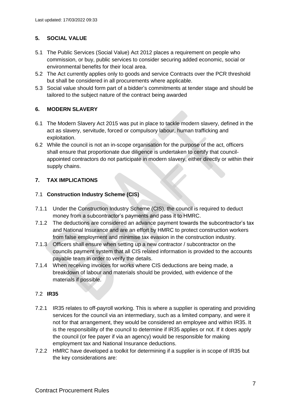# <span id="page-6-0"></span>**5. SOCIAL VALUE**

- 5.1 The Public Services (Social Value) Act 2012 places a requirement on people who commission, or buy, public services to consider securing added economic, social or environmental benefits for their local area.
- 5.2 The Act currently applies only to goods and service Contracts over the PCR threshold but shall be considered in all procurements where applicable.
- 5.3 Social value should form part of a bidder's commitments at tender stage and should be tailored to the subject nature of the contract being awarded

# <span id="page-6-1"></span>**6. MODERN SLAVERY**

- 6.1 The Modern Slavery Act 2015 was put in place to tackle modern slavery, defined in the act as slavery, servitude, forced or compulsory labour, human trafficking and exploitation.
- 6.2 While the council is not an in-scope organisation for the purpose of the act, officers shall ensure that proportionate due diligence is undertaken to certify that councilappointed contractors do not participate in modern slavery, either directly or within their supply chains.

# <span id="page-6-2"></span>**7. TAX IMPLICATIONS**

# 7.1 **Construction Industry Scheme (CIS)**

- 7.1.1 Under the Construction Industry Scheme (CIS), the council is required to deduct money from a subcontractor's payments and pass it to HMRC.
- 7.1.2 The deductions are considered an advance payment towards the subcontractor's tax and National Insurance and are an effort by HMRC to protect construction workers from false employment and minimise tax evasion in the construction industry.
- 7.1.3 Officers shall ensure when setting up a new contractor / subcontractor on the councils payment system that all CIS related information is provided to the accounts payable team in order to verify the details.
- 7.1.4 When receiving invoices for works where CIS deductions are being made, a breakdown of labour and materials should be provided, with evidence of the materials if possible.

# 7.2 **IR35**

- 7.2.1 IR35 relates to off-payroll working. This is where a supplier is operating and providing services for the council via an intermediary, such as a limited company, and were it not for that arrangement, they would be considered an employee and within IR35. It is the responsibility of the council to determine if IR35 applies or not. If it does apply the council (or fee payer if via an agency) would be responsible for making employment tax and National Insurance deductions.
- 7.2.2 HMRC have developed a toolkit for determining if a supplier is in scope of IR35 but the key considerations are: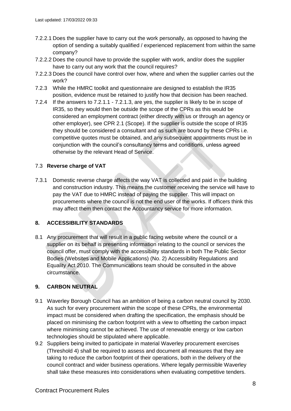- 7.2.2.1 Does the supplier have to carry out the work personally, as opposed to having the option of sending a suitably qualified / experienced replacement from within the same company?
- 7.2.2.2 Does the council have to provide the supplier with work, and/or does the supplier have to carry out any work that the council requires?
- 7.2.2.3 Does the council have control over how, where and when the supplier carries out the work?
- 7.2.3 While the HMRC toolkit and questionnaire are designed to establish the IR35 position, evidence must be retained to justify how that decision has been reached.
- 7.2.4 If the answers to 7.2.1.1 7.2.1.3, are yes, the supplier is likely to be in scope of IR35, so they would then be outside the scope of the CPRs as this would be considered an employment contract (either directly with us or through an agency or other employer), see CPR 2.1 (Scope). If the supplier is outside the scope of IR35 they should be considered a consultant and as such are bound by these CPRs i.e. competitive quotes must be obtained, and any subsequent appointments must be in conjunction with the council's consultancy terms and conditions, unless agreed otherwise by the relevant Head of Service.

# 7.3 **Reverse charge of VAT**

7.3.1 Domestic reverse charge affects the way VAT is collected and paid in the building and construction industry. This means the customer receiving the service will have to pay the VAT due to HMRC instead of paying the supplier. This will impact on procurements where the council is not the end user of the works. If officers think this may affect them then contact the Accountancy service for more information.

# <span id="page-7-0"></span>**8. ACCESSIBILITY STANDARDS**

8.1 Any procurement that will result in a public facing website where the council or a supplier on its behalf is presenting information relating to the council or services the council offer, must comply with the accessibility standards in both The Public Sector Bodies (Websites and Mobile Applications) (No. 2) Accessibility Regulations and Equality Act 2010. The Communications team should be consulted in the above circumstance.

# <span id="page-7-1"></span>**9. CARBON NEUTRAL**

- 9.1 Waverley Borough Council has an ambition of being a carbon neutral council by 2030. As such for every procurement within the scope of these CPRs, the environmental impact must be considered when drafting the specification, the emphasis should be placed on minimising the carbon footprint with a view to offsetting the carbon impact where minimising cannot be achieved. The use of renewable energy or low carbon technologies should be stipulated where applicable.
- 9.2 Suppliers being invited to participate in material Waverley procurement exercises (Threshold 4) shall be required to assess and document all measures that they are taking to reduce the carbon footprint of their operations, both in the delivery of the council contract and wider business operations. Where legally permissible Waverley shall take these measures into considerations when evaluating competitive tenders.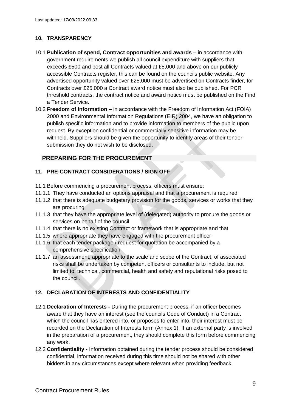### <span id="page-8-0"></span>**10. TRANSPARENCY**

- 10.1 **Publication of spend, Contract opportunities and awards –** in accordance with government requirements we publish all council expenditure with suppliers that exceeds £500 and post all Contracts valued at £5,000 and above on our publicly accessible Contracts register, this can be found on the councils public website. Any advertised opportunity valued over £25,000 must be advertised on Contracts finder, for Contracts over £25,000 a Contract award notice must also be published. For PCR threshold contracts, the contract notice and award notice must be published on the Find a Tender Service.
- 10.2 **Freedom of Information –** in accordance with the Freedom of Information Act (FOIA) 2000 and Environmental Information Regulations (EIR) 2004, we have an obligation to publish specific information and to provide information to members of the public upon request. By exception confidential or commercially sensitive information may be withheld. Suppliers should be given the opportunity to identify areas of their tender submission they do not wish to be disclosed.

# <span id="page-8-1"></span>**PREPARING FOR THE PROCUREMENT**

### <span id="page-8-2"></span>**11. PRE-CONTRACT CONSIDERATIONS / SIGN OFF**

- 11.1 Before commencing a procurement process, officers must ensure:
- 11.1.1 They have conducted an options appraisal and that a procurement is required
- 11.1.2 that there is adequate budgetary provision for the goods, services or works that they are procuring
- 11.1.3 that they have the appropriate level of (delegated) authority to procure the goods or services on behalf of the council
- 11.1.4 that there is no existing Contract or framework that is appropriate and that
- 11.1.5 where appropriate they have engaged with the procurement officer
- 11.1.6 that each tender package / request for quotation be accompanied by a comprehensive specification
- 11.1.7 an assessment, appropriate to the scale and scope of the Contract, of associated risks shall be undertaken by competent officers or consultants to include, but not limited to, technical, commercial, health and safety and reputational risks posed to the council.

### <span id="page-8-3"></span>**12. DECLARATION OF INTERESTS AND CONFIDENTIALITY**

- 12.1 **Declaration of Interests -** During the procurement process, if an officer becomes aware that they have an interest (see the councils Code of Conduct) in a Contract which the council has entered into, or proposes to enter into, their interest must be recorded on the Declaration of Interests form (Annex 1). If an external party is involved in the preparation of a procurement, they should complete this form before commencing any work.
- 12.2 **Confidentiality -** Information obtained during the tender process should be considered confidential, information received during this time should not be shared with other bidders in any circumstances except where relevant when providing feedback.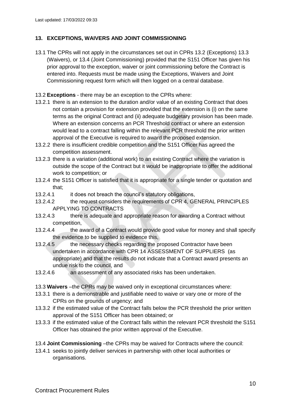# **13. EXCEPTIONS, WAIVERS AND JOINT COMMISSIONING**

- 13.1 The CPRs will not apply in the circumstances set out in CPRs 13.2 (Exceptions) 13.3 (Waivers), or 13.4 (Joint Commissioning) provided that the S151 Officer has given his prior approval to the exception, waiver or joint commissioning before the Contract is entered into. Requests must be made using the Exceptions, Waivers and Joint Commissioning request form which will then logged on a central database.
- 13.2 **Exceptions** there may be an exception to the CPRs where:
- 13.2.1 there is an extension to the duration and/or value of an existing Contract that does not contain a provision for extension provided that the extension is (i) on the same terms as the original Contract and (ii) adequate budgetary provision has been made. Where an extension concerns an PCR Threshold contract or where an extension would lead to a contract falling within the relevant PCR threshold the prior written approval of the Executive is required to award the proposed extension.
- 13.2.2 there is insufficient credible competition and the S151 Officer has agreed the competition assessment.
- 13.2.3 there is a variation (additional work) to an existing Contract where the variation is outside the scope of the Contract but it would be inappropriate to offer the additional work to competition; or
- 13.2.4 the S151 Officer is satisfied that it is appropriate for a single tender or quotation and that;
- 13.2.4.1 it does not breach the council's statutory obligations,
- 13.2.4.2 the request considers the requirements of CPR 4, GENERAL PRINCIPLES APPLYING TO CONTRACTS
- 13.2.4.3 there is adequate and appropriate reason for awarding a Contract without competition,
- 13.2.4.4 the award of a Contract would provide good value for money and shall specify the evidence to be supplied to evidence this,
- 13.2.4.5 the necessary checks regarding the proposed Contractor have been undertaken in accordance with CPR 14 ASSESSMENT OF SUPPLIERS (as appropriate) and that the results do not indicate that a Contract award presents an undue risk to the council, and
- 13.2.4.6 an assessment of any associated risks has been undertaken.
- 13.3 **Waivers** –the CPRs may be waived only in exceptional circumstances where:
- 13.3.1 there is a demonstrable and justifiable need to waive or vary one or more of the CPRs on the grounds of urgency; and
- 13.3.2 if the estimated value of the Contract falls below the PCR threshold the prior written approval of the S151 Officer has been obtained; or
- 13.3.3 if the estimated value of the Contract falls within the relevant PCR threshold the S151 Officer has obtained the prior written approval of the Executive.
- 13.4 **Joint Commissioning** –the CPRs may be waived for Contracts where the council:
- 13.4.1 seeks to jointly deliver services in partnership with other local authorities or organisations.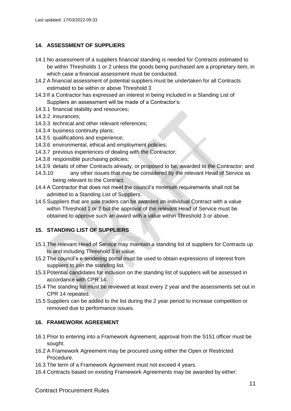### <span id="page-10-0"></span>**14. ASSESSMENT OF SUPPLIERS**

- 14.1 No assessment of a suppliers financial standing is needed for Contracts estimated to be within Thresholds 1 or 2 unless the goods being purchased are a proprietary item, in which case a financial assessment must be conducted.
- 14.2 A financial assessment of potential suppliers must be undertaken for all Contracts estimated to be within or above Threshold 3
- 14.3 If a Contractor has expressed an interest in being included in a Standing List of Suppliers an assessment will be made of a Contractor's:
- 14.3.1 financial stability and resources;
- 14.3.2 insurances;
- 14.3.3 technical and other relevant references;
- 14.3.4 business continuity plans;
- 14.3.5 qualifications and experience;
- 14.3.6 environmental, ethical and employment policies;
- 14.3.7 previous experiences of dealing with the Contractor;
- 14.3.8 responsible purchasing policies;
- 14.3.9 details of other Contracts already, or proposed to be, awarded to the Contractor; and
- 14.3.10 any other issues that may be considered by the relevant Head of Service as being relevant to the Contract.
- 14.4 A Contractor that does not meet the council's minimum requirements shall not be admitted to a Standing List of Suppliers.
- 14.5 Suppliers that are sole traders can be awarded an individual Contract with a value within Threshold 1 or 2 but the approval of the relevant Head of Service must be obtained to approve such an award with a value within Threshold 3 or above.

# <span id="page-10-1"></span>**15. STANDING LIST OF SUPPLIERS**

- 15.1 The relevant Head of Service may maintain a standing list of suppliers for Contracts up to and including Threshold 3 in value.
- 15.2 The council's e-tendering portal must be used to obtain expressions of interest from suppliers to join the standing list.
- 15.3 Potential candidates for inclusion on the standing list of suppliers will be assessed in accordance with CPR 14.
- 15.4 The standing list must be reviewed at least every 2 year and the assessments set out in CPR 14 repeated.
- 15.5 Suppliers can be added to the list during the 2 year period to increase competition or removed due to performance issues.

### <span id="page-10-2"></span>**16. FRAMEWORK AGREEMENT**

- 16.1 Prior to entering into a Framework Agreement, approval from the S151 officer must be sought.
- 16.2 A Framework Agreement may be procured using either the Open or Restricted Procedure.
- 16.3 The term of a Framework Agreement must not exceed 4 years.
- 16.4 Contracts based on existing Framework Agreements may be awarded by either: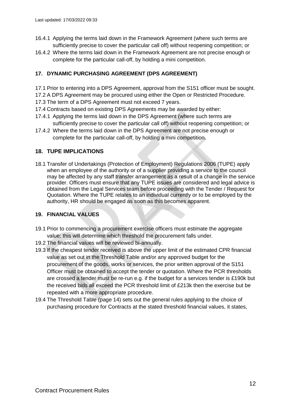- 16.4.1 Applying the terms laid down in the Framework Agreement (where such terms are sufficiently precise to cover the particular call off) without reopening competition; or
- 16.4.2 Where the terms laid down in the Framework Agreement are not precise enough or complete for the particular call-off, by holding a mini competition.

# <span id="page-11-0"></span>**17. DYNAMIC PURCHASING AGREEMENT (DPS AGREEMENT)**

- 17.1 Prior to entering into a DPS Agreement, approval from the S151 officer must be sought.
- 17.2 A DPS Agreement may be procured using either the Open or Restricted Procedure.
- 17.3 The term of a DPS Agreement must not exceed 7 years.
- 17.4 Contracts based on existing DPS Agreements may be awarded by either:
- 17.4.1 Applying the terms laid down in the DPS Agreement (where such terms are sufficiently precise to cover the particular call off) without reopening competition; or
- 17.4.2 Where the terms laid down in the DPS Agreement are not precise enough or complete for the particular call-off, by holding a mini competition.

### <span id="page-11-1"></span>**18. TUPE IMPLICATIONS**

18.1 Transfer of Undertakings (Protection of Employment) Regulations 2006 (TUPE) apply when an employee of the authority or of a supplier providing a service to the council may be affected by any staff transfer arrangement as a result of a change in the service provider. Officers must ensure that any TUPE issues are considered and legal advice is obtained from the Legal Services team before proceeding with the Tender / Request for Quotation. Where the TUPE relates to an individual currently or to be employed by the authority, HR should be engaged as soon as this becomes apparent.

### <span id="page-11-2"></span>**19. FINANCIAL VALUES**

- 19.1 Prior to commencing a procurement exercise officers must estimate the aggregate value; this will determine which threshold the procurement falls under.
- 19.2 The financial values will be reviewed bi-annually.
- 19.3 If the cheapest tender received is above the upper limit of the estimated CPR financial value as set out in the Threshold Table and/or any approved budget for the procurement of the goods, works or services, the prior written approval of the S151 Officer must be obtained to accept the tender or quotation. Where the PCR thresholds are crossed a tender must be re-run e.g. if the budget for a services tender is £190k but the received bids all exceed the PCR threshold limit of £213k then the exercise but be repeated with a more appropriate procedure.
- 19.4 The Threshold Table (page 14) sets out the general rules applying to the choice of purchasing procedure for Contracts at the stated threshold financial values, it states,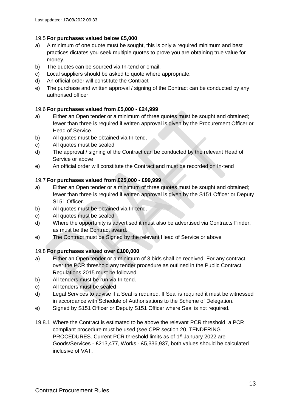### 19.5 **For purchases valued below £5,000**

- a) A minimum of one quote must be sought, this is only a required minimum and best practices dictates you seek multiple quotes to prove you are obtaining true value for money.
- b) The quotes can be sourced via In-tend or email.
- c) Local suppliers should be asked to quote where appropriate.
- d) An official order will constitute the Contract
- e) The purchase and written approval / signing of the Contract can be conducted by any authorised officer

# 19.6 **For purchases valued from £5,000 - £24,999**

- a) Either an Open tender or a minimum of three quotes must be sought and obtained; fewer than three is required if written approval is given by the Procurement Officer or Head of Service.
- b) All quotes must be obtained via In-tend.
- c) All quotes must be sealed
- d) The approval / signing of the Contract can be conducted by the relevant Head of Service or above
- e) An official order will constitute the Contract and must be recorded on In-tend

# 19.7 **For purchases valued from £25,000 - £99,999**

- a) Either an Open tender or a minimum of three quotes must be sought and obtained; fewer than three is required if written approval is given by the S151 Officer or Deputy S151 Officer.
- b) All quotes must be obtained via In-tend.
- c) All quotes must be sealed
- d) Where the opportunity is advertised it must also be advertised via Contracts Finder, as must be the Contract award.
- e) The Contract must be Signed by the relevant Head of Service or above

# 19.8 **For purchases valued over £100,000**

- a) Either an Open tender or a minimum of 3 bids shall be received. For any contract over the PCR threshold any tender procedure as outlined in the Public Contract Regulations 2015 must be followed.
- b) All tenders must be run via In-tend.
- c) All tenders must be sealed
- d) Legal Services to advise if a Seal is required. If Seal is required it must be witnessed in accordance with Schedule of Authorisations to the Scheme of Delegation.
- e) Signed by S151 Officer or Deputy S151 Officer where Seal is not required.
- 19.8.1 Where the Contract is estimated to be above the relevant PCR threshold, a PCR compliant procedure must be used (see CPR section 20, TENDERING PROCEDURES. Current PCR threshold limits as of 1<sup>st</sup> January 2022 are Goods/Services - £213,477, Works - £5,336,937, both values should be calculated inclusive of VAT.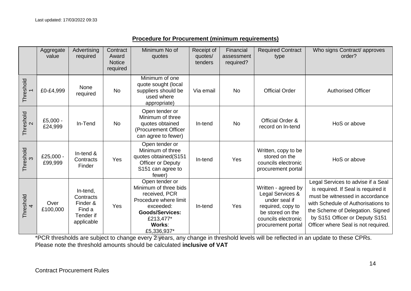|                                | Aggregate<br>value   | Advertising<br>required                                                | Contract<br>Award<br><b>Notice</b><br>required | Minimum No of<br>quotes                                                                                                                                        | Receipt of<br>quotes/<br>tenders | Financial<br>assessment<br>required? | <b>Required Contract</b><br>type                                                                                                               | Who signs Contract/ approves<br>order?                                                                                                                                                                                                                          |
|--------------------------------|----------------------|------------------------------------------------------------------------|------------------------------------------------|----------------------------------------------------------------------------------------------------------------------------------------------------------------|----------------------------------|--------------------------------------|------------------------------------------------------------------------------------------------------------------------------------------------|-----------------------------------------------------------------------------------------------------------------------------------------------------------------------------------------------------------------------------------------------------------------|
| Threshold                      | £0-£4,999            | None<br>required                                                       | <b>No</b>                                      | Minimum of one<br>quote sought (local<br>suppliers should be<br>used where<br>appropriate)                                                                     | Via email                        | <b>No</b>                            | <b>Official Order</b>                                                                                                                          | <b>Authorised Officer</b>                                                                                                                                                                                                                                       |
| Threshold<br>$\mathbf{\Omega}$ | £5,000 -<br>£24,999  | In-Tend                                                                | No                                             | Open tender or<br>Minimum of three<br>quotes obtained<br>(Procurement Officer<br>can agree to fewer)                                                           | In-tend                          | <b>No</b>                            | Official Order &<br>record on In-tend                                                                                                          | HoS or above                                                                                                                                                                                                                                                    |
| Threshold<br>3                 | £25,000 -<br>£99,999 | In-tend &<br>Contracts<br>Finder                                       | Yes                                            | Open tender or<br>Minimum of three<br>quotes obtained(S151<br>Officer or Deputy<br>S151 can agree to<br>fewer)                                                 | In-tend                          | Yes                                  | Written, copy to be<br>stored on the<br>councils electronic<br>procurement portal                                                              | HoS or above                                                                                                                                                                                                                                                    |
| Threshold<br>4                 | Over<br>£100,000     | In-tend,<br>Contracts<br>Finder &<br>Find a<br>Tender if<br>applicable | Yes                                            | Open tender or<br>Minimum of three bids<br>received, PCR<br>Procedure where limit<br>exceeded:<br><b>Goods/Services:</b><br>£213,477*<br>Works:<br>£5,336,937* | In-tend                          | Yes                                  | Written - agreed by<br>Legal Services &<br>under seal if<br>required, copy to<br>be stored on the<br>councils electronic<br>procurement portal | Legal Services to advise if a Seal<br>is required. If Seal is required it<br>must be witnessed in accordance<br>with Schedule of Authorisations to<br>the Scheme of Delegation. Signed<br>by S151 Officer or Deputy S151<br>Officer where Seal is not required. |

# **Procedure for Procurement (minimum requirements)**

\*PCR thresholds are subject to change every 2 years, any change in threshold levels will be reflected in an update to these CPRs. Please note the threshold amounts should be calculated **inclusive of VAT**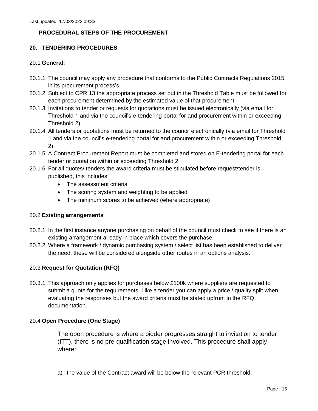### **PROCEDURAL STEPS OF THE PROCUREMENT**

### **20. TENDERING PROCEDURES**

### <span id="page-14-0"></span>20.1 **General:**

- <span id="page-14-1"></span>20.1.1 The council may apply any procedure that conforms to the Public Contracts Regulations 2015 in its procurement process's.
- 20.1.2 Subject to CPR 13 the appropriate process set out in the Threshold Table must be followed for each procurement determined by the estimated value of that procurement.
- 20.1.3 Invitations to tender or requests for quotations must be issued electronically (via email for Threshold 1 and via the council's e-tendering portal for and procurement within or exceeding Threshold 2).
- 20.1.4 All tenders or quotations must be returned to the council electronically (via email for Threshold 1 and via the council's e-tendering portal for and procurement within or exceeding Threshold 2).
- 20.1.5 A Contract Procurement Report must be completed and stored on E-tendering portal for each tender or quotation within or exceeding Threshold 2
- 20.1.6 For all quotes/ tenders the award criteria must be stipulated before request/tender is published, this includes;
	- The assessment criteria
	- The scoring system and weighting to be applied
	- The minimum scores to be achieved (where appropriate)

### 20.2 **Existing arrangements**

- 20.2.1 In the first instance anyone purchasing on behalf of the council must check to see if there is an existing arrangement already in place which covers the purchase.
- 20.2.2 Where a framework / dynamic purchasing system / select list has been established to deliver the need, these will be considered alongside other routes in an options analysis.

### 20.3 **Request for Quotation (RFQ)**

20.3.1 This approach only applies for purchases below £100k where suppliers are requested to submit a quote for the requirements. Like a tender you can apply a price / quality split when evaluating the responses but the award criteria must be stated upfront in the RFQ documentation.

### 20.4 **Open Procedure (One Stage)**

The open procedure is where a bidder progresses straight to invitation to tender (ITT), there is no pre-qualification stage involved. This procedure shall apply where:

a) the value of the Contract award will be below the relevant PCR threshold;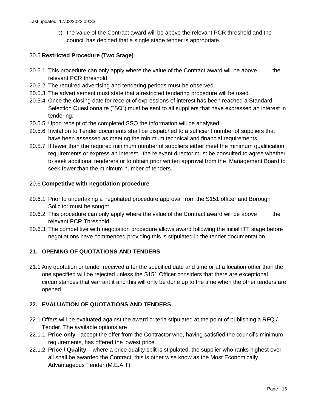b) the value of the Contract award will be above the relevant PCR threshold and the council has decided that a single stage tender is appropriate.

### 20.5 **Restricted Procedure (Two Stage)**

- 20.5.1 This procedure can only apply where the value of the Contract award will be above the relevant PCR threshold
- 20.5.2 The required advertising and tendering periods must be observed.
- 20.5.3 The advertisement must state that a restricted tendering procedure will be used.
- 20.5.4 Once the closing date for receipt of expressions of interest has been reached a Standard Selection Questionnaire ("SQ") must be sent to all suppliers that have expressed an interest in tendering.
- 20.5.5 Upon receipt of the completed SSQ the information will be analysed.
- 20.5.6 Invitation to Tender documents shall be dispatched to a sufficient number of suppliers that have been assessed as meeting the minimum technical and financial requirements.
- 20.5.7 If fewer than the required minimum number of suppliers either meet the minimum qualification requirements or express an interest, the relevant director must be consulted to agree whether to seek additional tenderers or to obtain prior written approval from the Management Board to seek fewer than the minimum number of tenders.

### 20.6 **Competitive with negotiation procedure**

- 20.6.1 Prior to undertaking a negotiated procedure approval from the S151 officer and Borough Solicitor must be sought.
- 20.6.2 This procedure can only apply where the value of the Contract award will be above the relevant PCR Threshold
- 20.6.3 The competitive with negotiation procedure allows award following the initial ITT stage before negotiations have commenced providing this is stipulated in the tender documentation.

### **21. OPENING OF QUOTATIONS AND TENDERS**

<span id="page-15-0"></span>21.1 Any quotation or tender received after the specified date and time or at a location other than the one specified will be rejected unless the S151 Officer considers that there are exceptional circumstances that warrant it and this will only be done up to the time when the other tenders are opened.

### **22. EVALUATION OF QUOTATIONS AND TENDERS**

- 22.1 Offers will be evaluated against the award criteria stipulated at the point of publishing a RFQ / Tender. The available options are
- <span id="page-15-1"></span>22.1.1 **Price only** - accept the offer from the Contractor who, having satisfied the council's minimum requirements, has offered the lowest price.
- 22.1.2 **Price / Quality**  where a price quality split is stipulated, the supplier who ranks highest over all shall be awarded the Contract, this is other wise know as the Most Economically Advantageous Tender (M.E.A.T).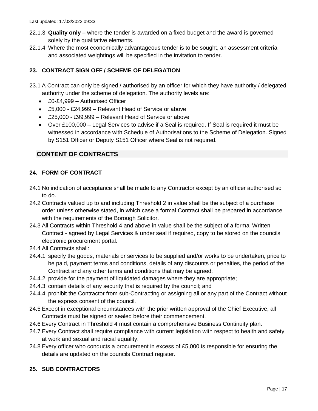- 22.1.3 **Quality only** where the tender is awarded on a fixed budget and the award is governed solely by the qualitative elements.
- 22.1.4 Where the most economically advantageous tender is to be sought, an assessment criteria and associated weightings will be specified in the invitation to tender.

# **23. CONTRACT SIGN OFF / SCHEME OF DELEGATION**

- <span id="page-16-0"></span>23.1 A Contract can only be signed / authorised by an officer for which they have authority / delegated authority under the scheme of delegation. The authority levels are:
	- £0-£4,999 Authorised Officer
	- £5,000 £24,999 Relevant Head of Service or above
	- £25,000 £99,999 Relevant Head of Service or above
	- Over £100,000 Legal Services to advise if a Seal is required. If Seal is required it must be witnessed in accordance with Schedule of Authorisations to the Scheme of Delegation. Signed by S151 Officer or Deputy S151 Officer where Seal is not required.

# **CONTENT OF CONTRACTS**

# <span id="page-16-1"></span>**24. FORM OF CONTRACT**

- 24.1 No indication of acceptance shall be made to any Contractor except by an officer authorised so to do.
- <span id="page-16-2"></span>24.2 Contracts valued up to and including Threshold 2 in value shall be the subject of a purchase order unless otherwise stated, in which case a formal Contract shall be prepared in accordance with the requirements of the Borough Solicitor.
- 24.3 All Contracts within Threshold 4 and above in value shall be the subject of a formal Written Contract - agreed by Legal Services & under seal if required, copy to be stored on the councils electronic procurement portal.
- 24.4 All Contracts shall:
- 24.4.1 specify the goods, materials or services to be supplied and/or works to be undertaken, price to be paid, payment terms and conditions, details of any discounts or penalties, the period of the Contract and any other terms and conditions that may be agreed;
- 24.4.2 provide for the payment of liquidated damages where they are appropriate;
- 24.4.3 contain details of any security that is required by the council; and
- 24.4.4 prohibit the Contractor from sub-Contracting or assigning all or any part of the Contract without the express consent of the council.
- 24.5 Except in exceptional circumstances with the prior written approval of the Chief Executive, all Contracts must be signed or sealed before their commencement.
- 24.6 Every Contract in Threshold 4 must contain a comprehensive Business Continuity plan.
- 24.7 Every Contract shall require compliance with current legislation with respect to health and safety at work and sexual and racial equality.
- 24.8 Every officer who conducts a procurement in excess of £5,000 is responsible for ensuring the details are updated on the councils Contract register.

### <span id="page-16-3"></span>**25. SUB CONTRACTORS**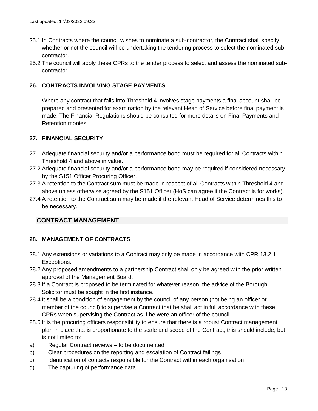- 25.1 In Contracts where the council wishes to nominate a sub-contractor, the Contract shall specify whether or not the council will be undertaking the tendering process to select the nominated subcontractor.
- 25.2 The council will apply these CPRs to the tender process to select and assess the nominated subcontractor.

### **26. CONTRACTS INVOLVING STAGE PAYMENTS**

<span id="page-17-0"></span>Where any contract that falls into Threshold 4 involves stage payments a final account shall be prepared and presented for examination by the relevant Head of Service before final payment is made. The Financial Regulations should be consulted for more details on Final Payments and Retention monies.

### **27. FINANCIAL SECURITY**

- 27.1 Adequate financial security and/or a performance bond must be required for all Contracts within Threshold 4 and above in value.
- <span id="page-17-1"></span>27.2 Adequate financial security and/or a performance bond may be required if considered necessary by the S151 Officer Procuring Officer.
- 27.3 A retention to the Contract sum must be made in respect of all Contracts within Threshold 4 and above unless otherwise agreed by the S151 Officer (HoS can agree if the Contract is for works).
- 27.4 A retention to the Contract sum may be made if the relevant Head of Service determines this to be necessary.

### **CONTRACT MANAGEMENT**

### <span id="page-17-2"></span>**28. MANAGEMENT OF CONTRACTS**

- 28.1 Any extensions or variations to a Contract may only be made in accordance with CPR 13.2.1 Exceptions.
- <span id="page-17-3"></span>28.2 Any proposed amendments to a partnership Contract shall only be agreed with the prior written approval of the Management Board.
- 28.3 If a Contract is proposed to be terminated for whatever reason, the advice of the Borough Solicitor must be sought in the first instance.
- 28.4 It shall be a condition of engagement by the council of any person (not being an officer or member of the council) to supervise a Contract that he shall act in full accordance with these CPRs when supervising the Contract as if he were an officer of the council.
- 28.5 It is the procuring officers responsibility to ensure that there is a robust Contract management plan in place that is proportionate to the scale and scope of the Contract, this should include, but is not limited to:
- a) Regular Contract reviews to be documented
- b) Clear procedures on the reporting and escalation of Contract failings
- c) Identification of contacts responsible for the Contract within each organisation
- d) The capturing of performance data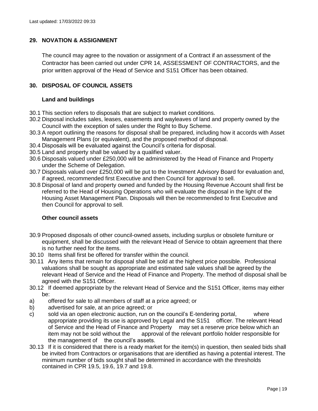### **29. NOVATION & ASSIGNMENT**

<span id="page-18-0"></span>The council may agree to the novation or assignment of a Contract if an assessment of the Contractor has been carried out under CPR 14, ASSESSMENT OF CONTRACTORS, and the prior written approval of the Head of Service and S151 Officer has been obtained.

### **30. DISPOSAL OF COUNCIL ASSETS**

### **Land and buildings**

- <span id="page-18-1"></span>30.1 This section refers to disposals that are subject to market conditions.
- 30.2 Disposal includes sales, leases, easements and wayleaves of land and property owned by the Council with the exception of sales under the Right to Buy Scheme.
- 30.3 A report outlining the reasons for disposal shall be prepared, including how it accords with Asset Management Plans (or equivalent), and the proposed method of disposal.
- 30.4 Disposals will be evaluated against the Council's criteria for disposal.
- 30.5 Land and property shall be valued by a qualified valuer.
- 30.6 Disposals valued under £250,000 will be administered by the Head of Finance and Property under the Scheme of Delegation.
- 30.7 Disposals valued over £250,000 will be put to the Investment Advisory Board for evaluation and, if agreed, recommended first Executive and then Council for approval to sell.
- 30.8 Disposal of land and property owned and funded by the Housing Revenue Account shall first be referred to the Head of Housing Operations who will evaluate the disposal in the light of the Housing Asset Management Plan. Disposals will then be recommended to first Executive and then Council for approval to sell.

### **Other council assets**

- 30.9 Proposed disposals of other council-owned assets, including surplus or obsolete furniture or equipment, shall be discussed with the relevant Head of Service to obtain agreement that there is no further need for the items.
- 30.10 Items shall first be offered for transfer within the council.
- 30.11 Any items that remain for disposal shall be sold at the highest price possible. Professional valuations shall be sought as appropriate and estimated sale values shall be agreed by the relevant Head of Service and the Head of Finance and Property. The method of disposal shall be agreed with the S151 Officer.
- 30.12 If deemed appropriate by the relevant Head of Service and the S151 Officer, items may either be:
- a) offered for sale to all members of staff at a price agreed; or
- b) advertised for sale, at an price agreed; or
- c) sold via an open electronic auction, run on the council's E-tendering portal, where appropriate providing its use is approved by Legal and the S151 officer. The relevant Head of Service and the Head of Finance and Property may set a reserve price below which an item may not be sold without the approval of the relevant portfolio holder responsible for the management of the council's assets.
- 30.13 If it is considered that there is a ready market for the item(s) in question, then sealed bids shall be invited from Contractors or organisations that are identified as having a potential interest. The minimum number of bids sought shall be determined in accordance with the thresholds contained in CPR 19.5, 19.6, 19.7 and 19.8.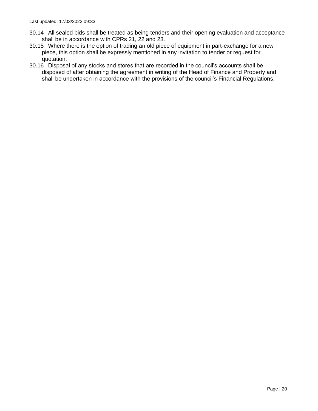- 30.14 All sealed bids shall be treated as being tenders and their opening evaluation and acceptance shall be in accordance with CPRs 21, 22 and 23.
- 30.15 Where there is the option of trading an old piece of equipment in part-exchange for a new piece, this option shall be expressly mentioned in any invitation to tender or request for quotation.
- 30.16 Disposal of any stocks and stores that are recorded in the council's accounts shall be disposed of after obtaining the agreement in writing of the Head of Finance and Property and shall be undertaken in accordance with the provisions of the council's Financial Regulations.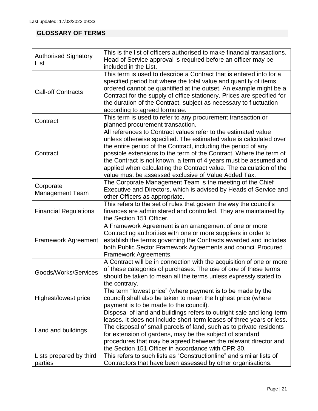# **GLOSSARY OF TERMS**

<span id="page-20-0"></span>

| <b>Authorised Signatory</b><br>List | This is the list of officers authorised to make financial transactions.<br>Head of Service approval is required before an officer may be<br>included in the List.                                                                                                                                                                                                                                                                                                               |  |  |  |  |
|-------------------------------------|---------------------------------------------------------------------------------------------------------------------------------------------------------------------------------------------------------------------------------------------------------------------------------------------------------------------------------------------------------------------------------------------------------------------------------------------------------------------------------|--|--|--|--|
| <b>Call-off Contracts</b>           | This term is used to describe a Contract that is entered into for a<br>specified period but where the total value and quantity of items<br>ordered cannot be quantified at the outset. An example might be a<br>Contract for the supply of office stationery. Prices are specified for<br>the duration of the Contract, subject as necessary to fluctuation<br>according to agreed formulae.                                                                                    |  |  |  |  |
| Contract                            | This term is used to refer to any procurement transaction or<br>planned procurement transaction.                                                                                                                                                                                                                                                                                                                                                                                |  |  |  |  |
| Contract                            | All references to Contract values refer to the estimated value<br>unless otherwise specified. The estimated value is calculated over<br>the entire period of the Contract, including the period of any<br>possible extensions to the term of the Contract. Where the term of<br>the Contract is not known, a term of 4 years must be assumed and<br>applied when calculating the Contract value. The calculation of the<br>value must be assessed exclusive of Value Added Tax. |  |  |  |  |
| Corporate<br><b>Management Team</b> | The Corporate Management Team is the meeting of the Chief<br>Executive and Directors, which is advised by Heads of Service and<br>other Officers as appropriate.                                                                                                                                                                                                                                                                                                                |  |  |  |  |
| <b>Financial Regulations</b>        | This refers to the set of rules that govern the way the council's<br>finances are administered and controlled. They are maintained by<br>the Section 151 Officer.                                                                                                                                                                                                                                                                                                               |  |  |  |  |
| <b>Framework Agreement</b>          | A Framework Agreement is an arrangement of one or more<br>Contracting authorities with one or more suppliers in order to<br>establish the terms governing the Contracts awarded and includes<br>both Public Sector Framework Agreements and council Procured<br>Framework Agreements.                                                                                                                                                                                           |  |  |  |  |
| Goods/Works/Services                | A Contract will be in connection with the acquisition of one or more<br>of these categories of purchases. The use of one of these terms<br>should be taken to mean all the terms unless expressly stated to<br>the contrary.                                                                                                                                                                                                                                                    |  |  |  |  |
| Highest/lowest price                | The term "lowest price" (where payment is to be made by the<br>council) shall also be taken to mean the highest price (where<br>payment is to be made to the council).                                                                                                                                                                                                                                                                                                          |  |  |  |  |
| Land and buildings                  | Disposal of land and buildings refers to outright sale and long-term<br>leases. It does not include short-term leases of three years or less.<br>The disposal of small parcels of land, such as to private residents<br>for extension of gardens, may be the subject of standard<br>procedures that may be agreed between the relevant director and<br>the Section 151 Officer in accordance with CPR 30.                                                                       |  |  |  |  |
| Lists prepared by third<br>parties  | This refers to such lists as "Constructionline" and similar lists of<br>Contractors that have been assessed by other organisations.                                                                                                                                                                                                                                                                                                                                             |  |  |  |  |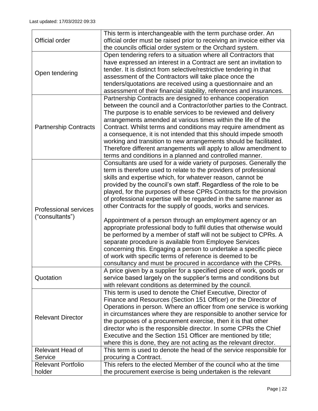|                              | This term is interchangeable with the term purchase order. An                                                                |
|------------------------------|------------------------------------------------------------------------------------------------------------------------------|
| <b>Official order</b>        | official order must be raised prior to receiving an invoice either via                                                       |
|                              | the councils official order system or the Orchard system.<br>Open tendering refers to a situation where all Contractors that |
|                              | have expressed an interest in a Contract are sent an invitation to                                                           |
|                              | tender. It is distinct from selective/restrictive tendering in that                                                          |
| Open tendering               | assessment of the Contractors will take place once the                                                                       |
|                              | tenders/quotations are received using a questionnaire and an                                                                 |
|                              | assessment of their financial stability, references and insurances.                                                          |
|                              | Partnership Contracts are designed to enhance cooperation                                                                    |
|                              | between the council and a Contractor/other parties to the Contract.                                                          |
|                              | The purpose is to enable services to be reviewed and delivery                                                                |
|                              | arrangements amended at various times within the life of the                                                                 |
| <b>Partnership Contracts</b> | Contract. Whilst terms and conditions may require amendment as                                                               |
|                              | a consequence, it is not intended that this should impede smooth                                                             |
|                              | working and transition to new arrangements should be facilitated.                                                            |
|                              | Therefore different arrangements will apply to allow amendment to                                                            |
|                              | terms and conditions in a planned and controlled manner.                                                                     |
|                              | Consultants are used for a wide variety of purposes. Generally the                                                           |
|                              | term is therefore used to relate to the providers of professional                                                            |
|                              | skills and expertise which, for whatever reason, cannot be                                                                   |
|                              | provided by the council's own staff. Regardless of the role to be                                                            |
|                              | played, for the purposes of these CPRs Contracts for the provision                                                           |
|                              | of professional expertise will be regarded in the same manner as                                                             |
| <b>Professional services</b> | other Contracts for the supply of goods, works and services.                                                                 |
|                              |                                                                                                                              |
| ("consultants")              | Appointment of a person through an employment agency or an                                                                   |
|                              | appropriate professional body to fulfil duties that otherwise would                                                          |
|                              | be performed by a member of staff will not be subject to CPRs. A                                                             |
|                              | separate procedure is available from Employee Services                                                                       |
|                              | concerning this. Engaging a person to undertake a specific piece                                                             |
|                              | of work with specific terms of reference is deemed to be                                                                     |
|                              | consultancy and must be procured in accordance with the CPRs.                                                                |
|                              | A price given by a supplier for a specified piece of work, goods or                                                          |
| Quotation                    | service based largely on the supplier's terms and conditions but                                                             |
|                              | with relevant conditions as determined by the council.                                                                       |
|                              | This term is used to denote the Chief Executive, Director of                                                                 |
|                              | Finance and Resources (Section 151 Officer) or the Director of                                                               |
|                              | Operations in person. Where an officer from one service is working                                                           |
| <b>Relevant Director</b>     | in circumstances where they are responsible to another service for                                                           |
|                              | the purposes of a procurement exercise, then it is that other                                                                |
|                              | director who is the responsible director. In some CPRs the Chief                                                             |
|                              | Executive and the Section 151 Officer are mentioned by title;                                                                |
|                              | where this is done, they are not acting as the relevant director.                                                            |
| <b>Relevant Head of</b>      | This term is used to denote the head of the service responsible for                                                          |
| Service                      | procuring a Contract.                                                                                                        |
| <b>Relevant Portfolio</b>    | This refers to the elected Member of the council who at the time                                                             |
| holder                       | the procurement exercise is being undertaken is the relevant                                                                 |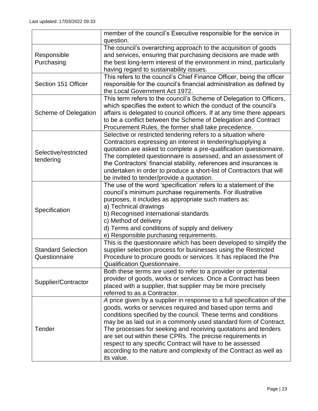|                                            | member of the council's Executive responsible for the service in                                                                                                                                                                                                                                                                                                                                                                                                                                                                                            |
|--------------------------------------------|-------------------------------------------------------------------------------------------------------------------------------------------------------------------------------------------------------------------------------------------------------------------------------------------------------------------------------------------------------------------------------------------------------------------------------------------------------------------------------------------------------------------------------------------------------------|
|                                            | question.                                                                                                                                                                                                                                                                                                                                                                                                                                                                                                                                                   |
| Responsible<br>Purchasing                  | The council's overarching approach to the acquisition of goods<br>and services, ensuring that purchasing decisions are made with<br>the best long-term interest of the environment in mind, particularly<br>having regard to sustainability issues.                                                                                                                                                                                                                                                                                                         |
| Section 151 Officer                        | This refers to the council's Chief Finance Officer, being the officer<br>responsible for the council's financial administration as defined by<br>the Local Government Act 1972.                                                                                                                                                                                                                                                                                                                                                                             |
| Scheme of Delegation                       | This term refers to the council's Scheme of Delegation to Officers,<br>which specifies the extent to which the conduct of the council's<br>affairs is delegated to council officers. If at any time there appears<br>to be a conflict between the Scheme of Delegation and Contract<br>Procurement Rules, the former shall take precedence.                                                                                                                                                                                                                 |
| Selective/restricted<br>tendering          | Selective or restricted tendering refers to a situation where<br>Contractors expressing an interest in tendering/supplying a<br>quotation are asked to complete a pre-qualification questionnaire.<br>The completed questionnaire is assessed, and an assessment of<br>the Contractors' financial stability, references and insurances is<br>undertaken in order to produce a short-list of Contractors that will<br>be invited to tender/provide a quotation.                                                                                              |
| Specification                              | The use of the word 'specification' refers to a statement of the<br>council's minimum purchase requirements. For illustrative<br>purposes, it includes as appropriate such matters as:<br>a) Technical drawings<br>b) Recognised international standards<br>c) Method of delivery<br>d) Terms and conditions of supply and delivery<br>e) Responsible purchasing requirements.                                                                                                                                                                              |
| <b>Standard Selection</b><br>Questionnaire | This is the questionnaire which has been developed to simplify the<br>supplier selection process for businesses using the Restricted<br>Procedure to procure goods or services. It has replaced the Pre<br><b>Qualification Questionnaire.</b>                                                                                                                                                                                                                                                                                                              |
| Supplier/Contractor                        | Both these terms are used to refer to a provider or potential<br>provider of goods, works or services. Once a Contract has been<br>placed with a supplier, that supplier may be more precisely<br>referred to as a Contractor.                                                                                                                                                                                                                                                                                                                              |
| Tender                                     | A price given by a supplier in response to a full specification of the<br>goods, works or services required and based upon terms and<br>conditions specified by the council. These terms and conditions<br>may be as laid out in a commonly used standard form of Contract.<br>The processes for seeking and receiving quotations and tenders<br>are set out within these CPRs. The precise requirements in<br>respect to any specific Contract will have to be assessed<br>according to the nature and complexity of the Contract as well as<br>its value. |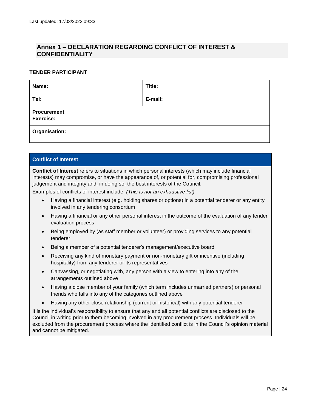# **Annex 1 – DECLARATION REGARDING CONFLICT OF INTEREST & CONFIDENTIALITY**

### <span id="page-23-0"></span>**TENDER PARTICIPANT**

| Name:                                  | Title:  |
|----------------------------------------|---------|
| Tel:                                   | E-mail: |
| <b>Procurement</b><br><b>Exercise:</b> |         |
| Organisation:                          |         |

### **Conflict of Interest**

**Conflict of Interest** refers to situations in which personal interests (which may include financial interests) may compromise, or have the appearance of, or potential for, compromising professional judgement and integrity and, in doing so, the best interests of the Council.

Examples of conflicts of interest include: *(This is not an exhaustive list)*

- Having a financial interest (e.g. holding shares or options) in a potential tenderer or any entity involved in any tendering consortium
- Having a financial or any other personal interest in the outcome of the evaluation of any tender evaluation process
- Being employed by (as staff member or volunteer) or providing services to any potential tenderer
- Being a member of a potential tenderer's management/executive board
- Receiving any kind of monetary payment or non-monetary gift or incentive (including hospitality) from any tenderer or its representatives
- Canvassing, or negotiating with, any person with a view to entering into any of the arrangements outlined above
- Having a close member of your family (which term includes unmarried partners) or personal friends who falls into any of the categories outlined above
- Having any other close relationship (current or historical) with any potential tenderer

It is the individual's responsibility to ensure that any and all potential conflicts are disclosed to the Council in writing prior to them becoming involved in any procurement process. Individuals will be excluded from the procurement process where the identified conflict is in the Council's opinion material and cannot be mitigated.